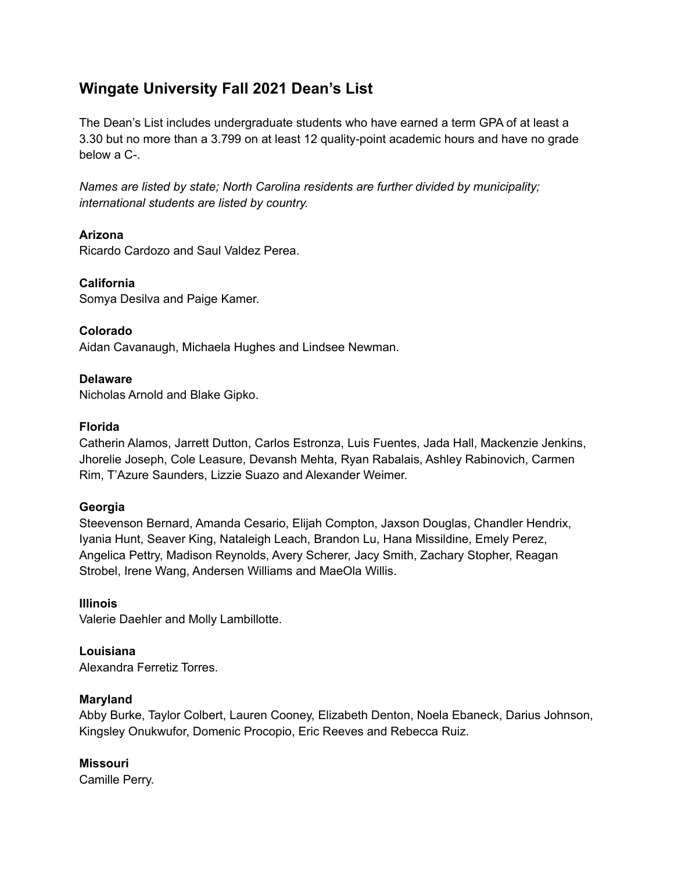# **Wingate University Fall 2021 Dean's List**

The Dean's List includes undergraduate students who have earned a term GPA of at least a 3.30 but no more than a 3.799 on at least 12 quality-point academic hours and have no grade below a C-.

*Names are listed by state; North Carolina residents are further divided by municipality; international students are listed by country.*

# **Arizona**

Ricardo Cardozo and Saul Valdez Perea.

## **California**

Somya Desilva and Paige Kamer.

# **Colorado**

Aidan Cavanaugh, Michaela Hughes and Lindsee Newman.

# **Delaware**

Nicholas Arnold and Blake Gipko.

# **Florida**

Catherin Alamos, Jarrett Dutton, Carlos Estronza, Luis Fuentes, Jada Hall, Mackenzie Jenkins, Jhorelie Joseph, Cole Leasure, Devansh Mehta, Ryan Rabalais, Ashley Rabinovich, Carmen Rim, T'Azure Saunders, Lizzie Suazo and Alexander Weimer.

# **Georgia**

Steevenson Bernard, Amanda Cesario, Elijah Compton, Jaxson Douglas, Chandler Hendrix, Iyania Hunt, Seaver King, Nataleigh Leach, Brandon Lu, Hana Missildine, Emely Perez, Angelica Pettry, Madison Reynolds, Avery Scherer, Jacy Smith, Zachary Stopher, Reagan Strobel, Irene Wang, Andersen Williams and MaeOla Willis.

## **Illinois**

Valerie Daehler and Molly Lambillotte.

## **Louisiana**

Alexandra Ferretiz Torres.

## **Maryland**

Abby Burke, Taylor Colbert, Lauren Cooney, Elizabeth Denton, Noela Ebaneck, Darius Johnson, Kingsley Onukwufor, Domenic Procopio, Eric Reeves and Rebecca Ruiz.

# **Missouri**

Camille Perry.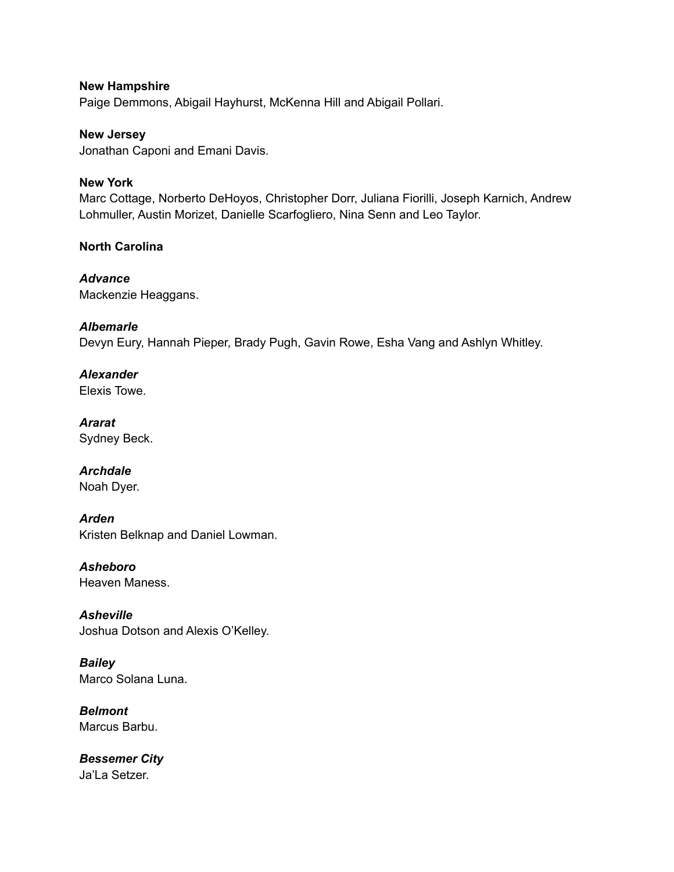**New Hampshire** Paige Demmons, Abigail Hayhurst, McKenna Hill and Abigail Pollari.

**New Jersey** Jonathan Caponi and Emani Davis.

# **New York**

Marc Cottage, Norberto DeHoyos, Christopher Dorr, Juliana Fiorilli, Joseph Karnich, Andrew Lohmuller, Austin Morizet, Danielle Scarfogliero, Nina Senn and Leo Taylor.

# **North Carolina**

*Advance* Mackenzie Heaggans.

## *Albemarle*

Devyn Eury, Hannah Pieper, Brady Pugh, Gavin Rowe, Esha Vang and Ashlyn Whitley.

*Alexander* Elexis Towe.

*Ararat* Sydney Beck.

*Archdale* Noah Dyer.

*Arden* Kristen Belknap and Daniel Lowman.

*Asheboro* Heaven Maness.

*Asheville* Joshua Dotson and Alexis O'Kelley.

*Bailey* Marco Solana Luna.

*Belmont* Marcus Barbu.

*Bessemer City* Ja'La Setzer.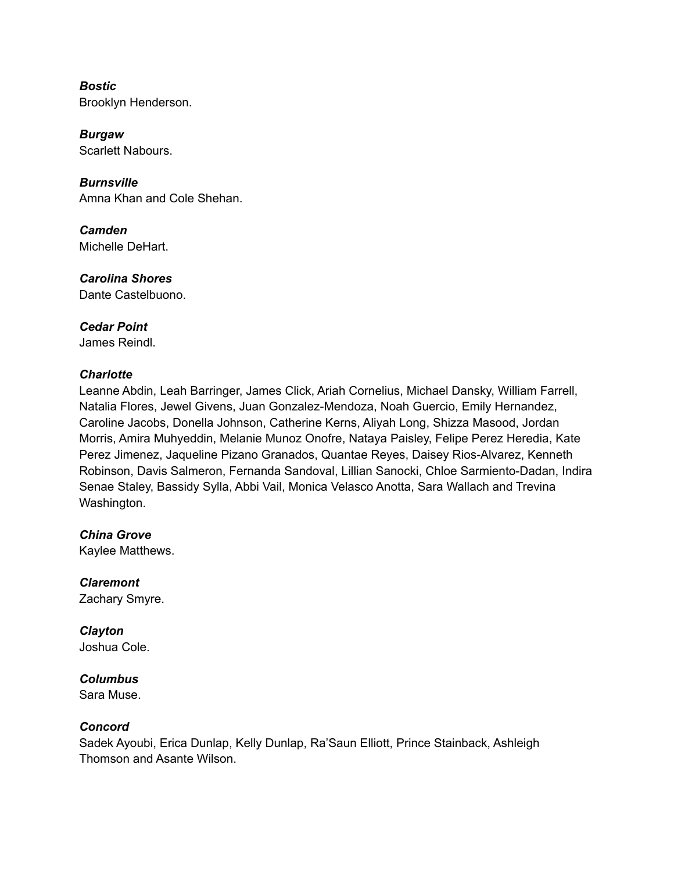*Bostic* Brooklyn Henderson.

*Burgaw* Scarlett Nabours.

*Burnsville* Amna Khan and Cole Shehan.

*Camden* Michelle DeHart.

*Carolina Shores* Dante Castelbuono.

*Cedar Point* James Reindl.

## *Charlotte*

Leanne Abdin, Leah Barringer, James Click, Ariah Cornelius, Michael Dansky, William Farrell, Natalia Flores, Jewel Givens, Juan Gonzalez-Mendoza, Noah Guercio, Emily Hernandez, Caroline Jacobs, Donella Johnson, Catherine Kerns, Aliyah Long, Shizza Masood, Jordan Morris, Amira Muhyeddin, Melanie Munoz Onofre, Nataya Paisley, Felipe Perez Heredia, Kate Perez Jimenez, Jaqueline Pizano Granados, Quantae Reyes, Daisey Rios-Alvarez, Kenneth Robinson, Davis Salmeron, Fernanda Sandoval, Lillian Sanocki, Chloe Sarmiento-Dadan, Indira Senae Staley, Bassidy Sylla, Abbi Vail, Monica Velasco Anotta, Sara Wallach and Trevina Washington.

*China Grove* Kaylee Matthews.

*Claremont* Zachary Smyre.

*Clayton* Joshua Cole.

*Columbus*

Sara Muse.

# *Concord*

Sadek Ayoubi, Erica Dunlap, Kelly Dunlap, Ra'Saun Elliott, Prince Stainback, Ashleigh Thomson and Asante Wilson.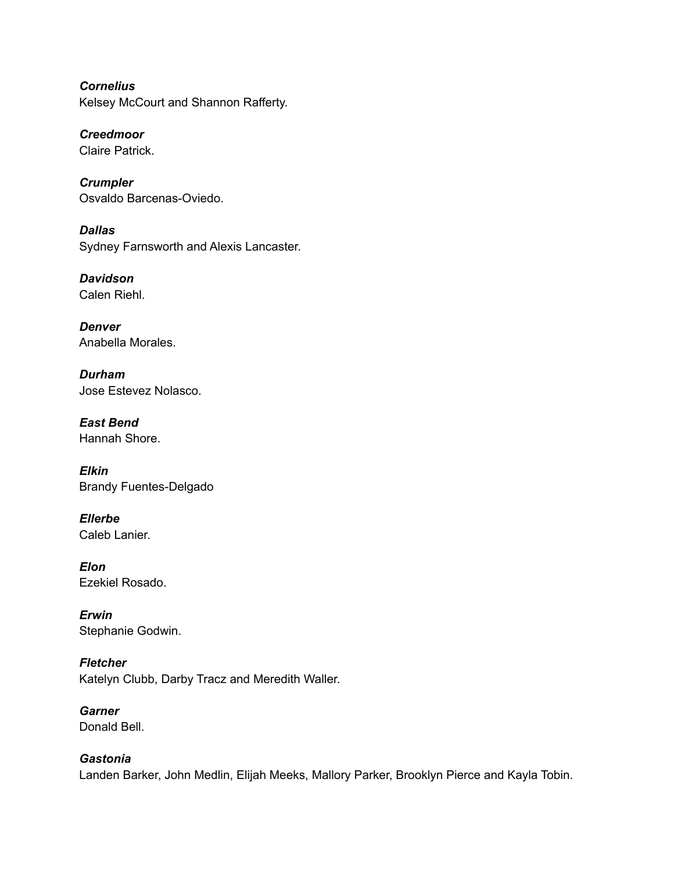*Cornelius* Kelsey McCourt and Shannon Rafferty.

*Creedmoor* Claire Patrick.

*Crumpler* Osvaldo Barcenas-Oviedo.

*Dallas* Sydney Farnsworth and Alexis Lancaster.

*Davidson* Calen Riehl.

*Denver* Anabella Morales.

*Durham* Jose Estevez Nolasco.

*East Bend* Hannah Shore.

*Elkin* Brandy Fuentes-Delgado

*Ellerbe* Caleb Lanier.

*Elon* Ezekiel Rosado.

*Erwin* Stephanie Godwin.

*Fletcher* Katelyn Clubb, Darby Tracz and Meredith Waller.

*Garner* Donald Bell.

*Gastonia* Landen Barker, John Medlin, Elijah Meeks, Mallory Parker, Brooklyn Pierce and Kayla Tobin.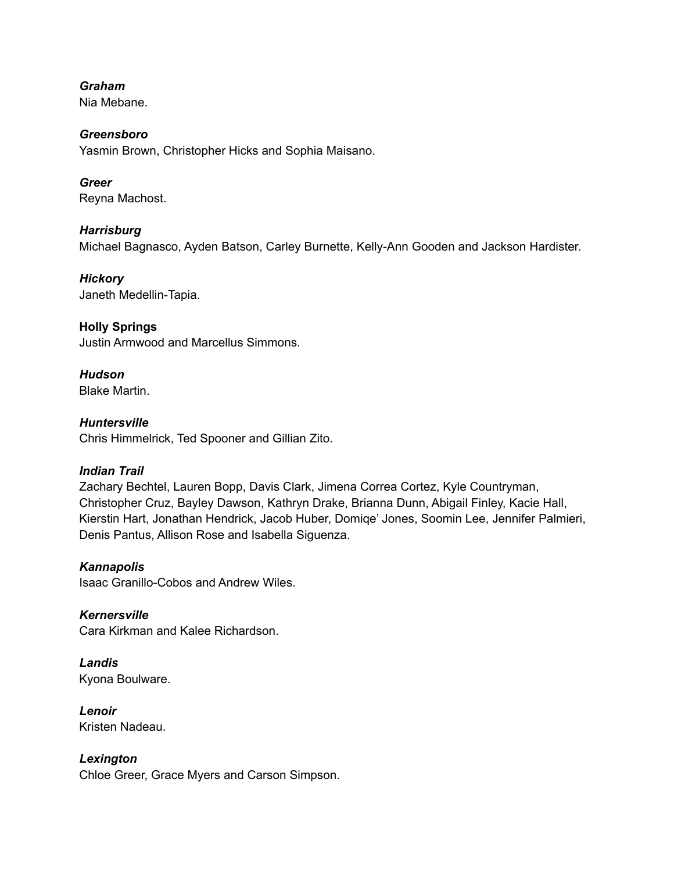*Graham*

Nia Mebane.

## *Greensboro*

Yasmin Brown, Christopher Hicks and Sophia Maisano.

# *Greer*

Reyna Machost.

# *Harrisburg*

Michael Bagnasco, Ayden Batson, Carley Burnette, Kelly-Ann Gooden and Jackson Hardister.

## *Hickory*

Janeth Medellin-Tapia.

# **Holly Springs**

Justin Armwood and Marcellus Simmons.

# *Hudson*

Blake Martin.

# *Huntersville*

Chris Himmelrick, Ted Spooner and Gillian Zito.

# *Indian Trail*

Zachary Bechtel, Lauren Bopp, Davis Clark, Jimena Correa Cortez, Kyle Countryman, Christopher Cruz, Bayley Dawson, Kathryn Drake, Brianna Dunn, Abigail Finley, Kacie Hall, Kierstin Hart, Jonathan Hendrick, Jacob Huber, Domiqe' Jones, Soomin Lee, Jennifer Palmieri, Denis Pantus, Allison Rose and Isabella Siguenza.

## *Kannapolis*

Isaac Granillo-Cobos and Andrew Wiles.

*Kernersville* Cara Kirkman and Kalee Richardson.

#### *Landis* Kyona Boulware.

*Lenoir* Kristen Nadeau.

# *Lexington*

Chloe Greer, Grace Myers and Carson Simpson.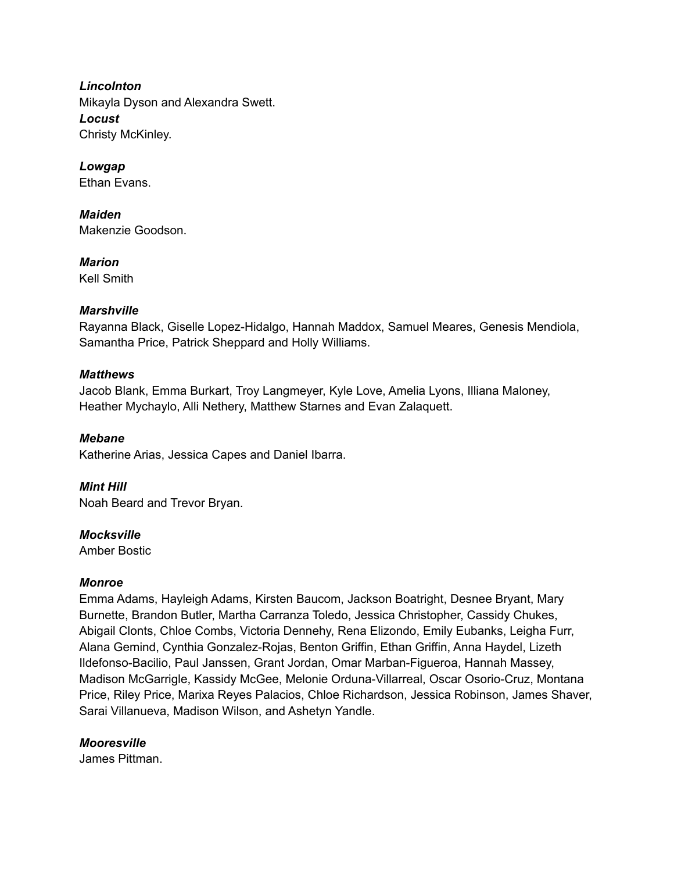*Lincolnton* Mikayla Dyson and Alexandra Swett. *Locust* Christy McKinley.

*Lowgap* Ethan Evans.

*Maiden* Makenzie Goodson.

*Marion* Kell Smith

#### *Marshville*

Rayanna Black, Giselle Lopez-Hidalgo, Hannah Maddox, Samuel Meares, Genesis Mendiola, Samantha Price, Patrick Sheppard and Holly Williams.

#### *Matthews*

Jacob Blank, Emma Burkart, Troy Langmeyer, Kyle Love, Amelia Lyons, Illiana Maloney, Heather Mychaylo, Alli Nethery, Matthew Starnes and Evan Zalaquett.

## *Mebane*

Katherine Arias, Jessica Capes and Daniel Ibarra.

#### *Mint Hill*

Noah Beard and Trevor Bryan.

#### *Mocksville*

Amber Bostic

#### *Monroe*

Emma Adams, Hayleigh Adams, Kirsten Baucom, Jackson Boatright, Desnee Bryant, Mary Burnette, Brandon Butler, Martha Carranza Toledo, Jessica Christopher, Cassidy Chukes, Abigail Clonts, Chloe Combs, Victoria Dennehy, Rena Elizondo, Emily Eubanks, Leigha Furr, Alana Gemind, Cynthia Gonzalez-Rojas, Benton Griffin, Ethan Griffin, Anna Haydel, Lizeth Ildefonso-Bacilio, Paul Janssen, Grant Jordan, Omar Marban-Figueroa, Hannah Massey, Madison McGarrigle, Kassidy McGee, Melonie Orduna-Villarreal, Oscar Osorio-Cruz, Montana Price, Riley Price, Marixa Reyes Palacios, Chloe Richardson, Jessica Robinson, James Shaver, Sarai Villanueva, Madison Wilson, and Ashetyn Yandle.

#### *Mooresville*

James Pittman.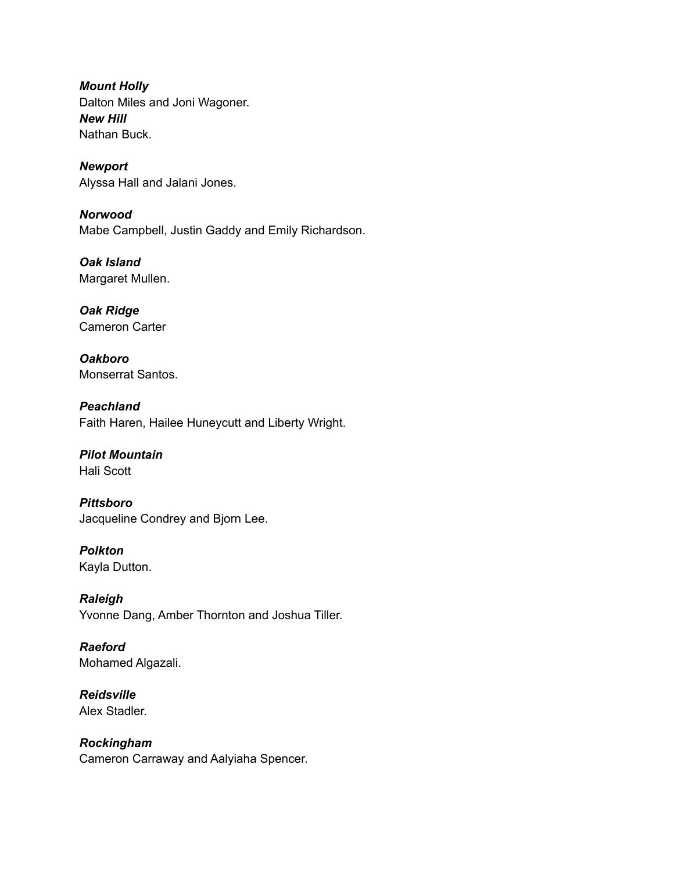*Mount Holly* Dalton Miles and Joni Wagoner. *New Hill* Nathan Buck.

*Newport* Alyssa Hall and Jalani Jones.

*Norwood* Mabe Campbell, Justin Gaddy and Emily Richardson.

*Oak Island* Margaret Mullen.

*Oak Ridge* Cameron Carter

*Oakboro* Monserrat Santos.

*Peachland* Faith Haren, Hailee Huneycutt and Liberty Wright.

#### *Pilot Mountain* Hali Scott

*Pittsboro* Jacqueline Condrey and Bjorn Lee.

*Polkton* Kayla Dutton.

*Raleigh* Yvonne Dang, Amber Thornton and Joshua Tiller.

*Raeford* Mohamed Algazali.

*Reidsville* Alex Stadler.

*Rockingham* Cameron Carraway and Aalyiaha Spencer.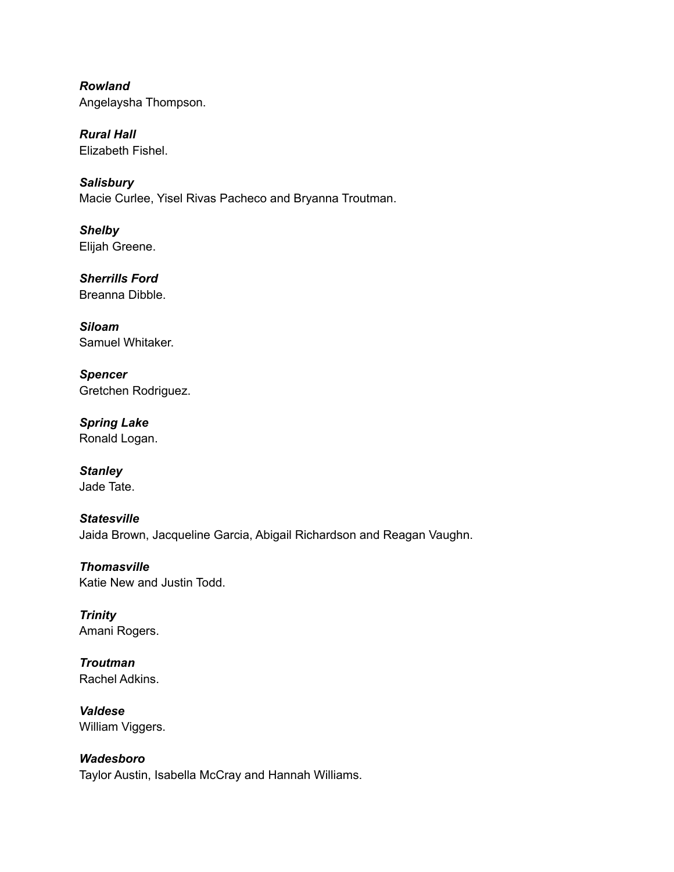*Rowland* Angelaysha Thompson.

*Rural Hall* Elizabeth Fishel.

*Salisbury* Macie Curlee, Yisel Rivas Pacheco and Bryanna Troutman.

*Shelby* Elijah Greene.

*Sherrills Ford* Breanna Dibble.

*Siloam* Samuel Whitaker.

*Spencer* Gretchen Rodriguez.

*Spring Lake* Ronald Logan.

*Stanley* Jade Tate.

# *Statesville* Jaida Brown, Jacqueline Garcia, Abigail Richardson and Reagan Vaughn.

*Thomasville* Katie New and Justin Todd.

*Trinity* Amani Rogers.

*Troutman* Rachel Adkins.

*Valdese* William Viggers.

*Wadesboro* Taylor Austin, Isabella McCray and Hannah Williams.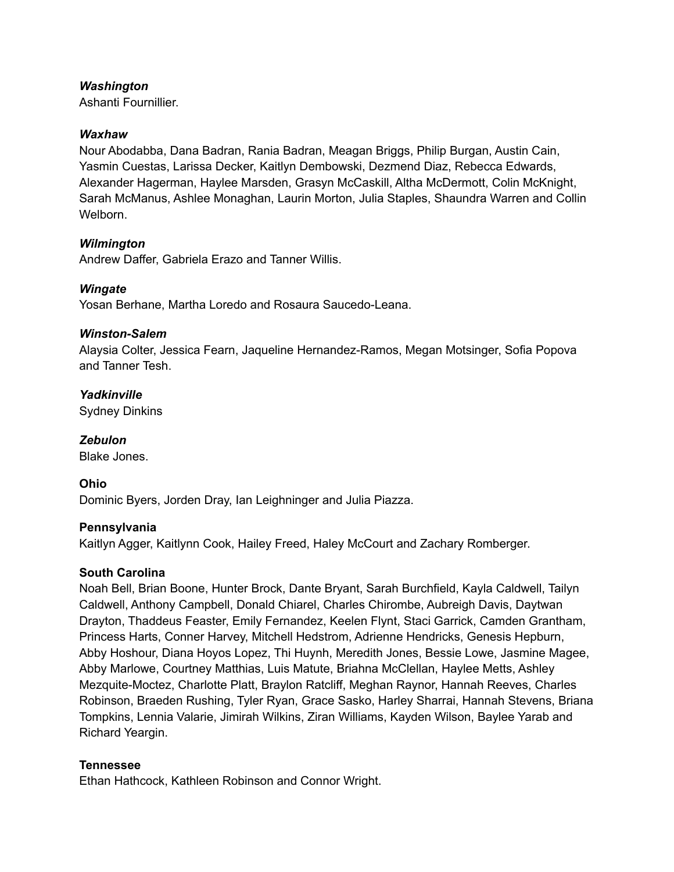#### *Washington*

Ashanti Fournillier.

#### *Waxhaw*

Nour Abodabba, Dana Badran, Rania Badran, Meagan Briggs, Philip Burgan, Austin Cain, Yasmin Cuestas, Larissa Decker, Kaitlyn Dembowski, Dezmend Diaz, Rebecca Edwards, Alexander Hagerman, Haylee Marsden, Grasyn McCaskill, Altha McDermott, Colin McKnight, Sarah McManus, Ashlee Monaghan, Laurin Morton, Julia Staples, Shaundra Warren and Collin Welborn.

### *Wilmington*

Andrew Daffer, Gabriela Erazo and Tanner Willis.

### *Wingate*

Yosan Berhane, Martha Loredo and Rosaura Saucedo-Leana.

### *Winston-Salem*

Alaysia Colter, Jessica Fearn, Jaqueline Hernandez-Ramos, Megan Motsinger, Sofia Popova and Tanner Tesh.

*Yadkinville* Sydney Dinkins

*Zebulon* Blake Jones.

## **Ohio**

Dominic Byers, Jorden Dray, Ian Leighninger and Julia Piazza.

#### **Pennsylvania**

Kaitlyn Agger, Kaitlynn Cook, Hailey Freed, Haley McCourt and Zachary Romberger.

#### **South Carolina**

Noah Bell, Brian Boone, Hunter Brock, Dante Bryant, Sarah Burchfield, Kayla Caldwell, Tailyn Caldwell, Anthony Campbell, Donald Chiarel, Charles Chirombe, Aubreigh Davis, Daytwan Drayton, Thaddeus Feaster, Emily Fernandez, Keelen Flynt, Staci Garrick, Camden Grantham, Princess Harts, Conner Harvey, Mitchell Hedstrom, Adrienne Hendricks, Genesis Hepburn, Abby Hoshour, Diana Hoyos Lopez, Thi Huynh, Meredith Jones, Bessie Lowe, Jasmine Magee, Abby Marlowe, Courtney Matthias, Luis Matute, Briahna McClellan, Haylee Metts, Ashley Mezquite-Moctez, Charlotte Platt, Braylon Ratcliff, Meghan Raynor, Hannah Reeves, Charles Robinson, Braeden Rushing, Tyler Ryan, Grace Sasko, Harley Sharrai, Hannah Stevens, Briana Tompkins, Lennia Valarie, Jimirah Wilkins, Ziran Williams, Kayden Wilson, Baylee Yarab and Richard Yeargin.

#### **Tennessee**

Ethan Hathcock, Kathleen Robinson and Connor Wright.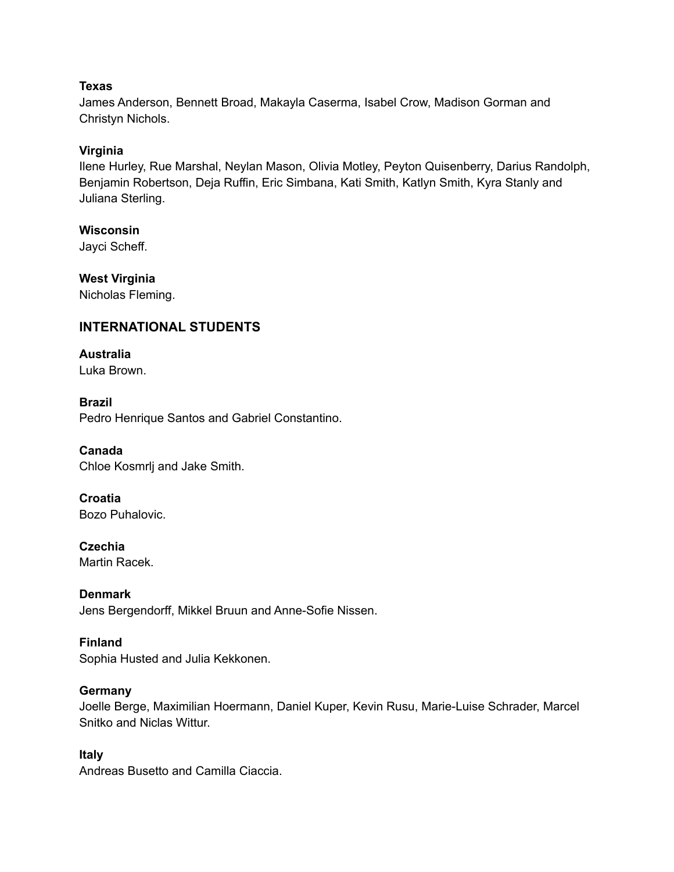### **Texas**

James Anderson, Bennett Broad, Makayla Caserma, Isabel Crow, Madison Gorman and Christyn Nichols.

# **Virginia**

Ilene Hurley, Rue Marshal, Neylan Mason, Olivia Motley, Peyton Quisenberry, Darius Randolph, Benjamin Robertson, Deja Ruffin, Eric Simbana, Kati Smith, Katlyn Smith, Kyra Stanly and Juliana Sterling.

## **Wisconsin**

Jayci Scheff.

# **West Virginia**

Nicholas Fleming.

# **INTERNATIONAL STUDENTS**

# **Australia**

Luka Brown.

## **Brazil**

Pedro Henrique Santos and Gabriel Constantino.

## **Canada**

Chloe Kosmrlj and Jake Smith.

#### **Croatia** Bozo Puhalovic.

**Czechia**

Martin Racek.

## **Denmark**

Jens Bergendorff, Mikkel Bruun and Anne-Sofie Nissen.

## **Finland**

Sophia Husted and Julia Kekkonen.

## **Germany**

Joelle Berge, Maximilian Hoermann, Daniel Kuper, Kevin Rusu, Marie-Luise Schrader, Marcel Snitko and Niclas Wittur.

## **Italy**

Andreas Busetto and Camilla Ciaccia.